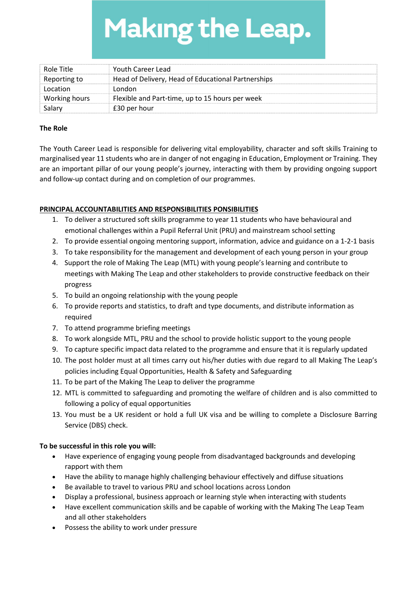**Making the Leap.** 

| Role Title    | Youth Career Lead                                  |
|---------------|----------------------------------------------------|
| Reporting to  | Head of Delivery, Head of Educational Partnerships |
| Location      | London                                             |
| Working hours | Flexible and Part-time, up to 15 hours per week    |
|               | £30 per hour                                       |

## The Role

The Youth Career Lead is responsible for delivering vital employability, character and soft skills Training to marginalised year 11 students who are in danger of not engaging in Education, Employment or Training. They are an important pillar of our young people's journey, interacting with them by providing ongoing support and follow-up contact during and on completion of our programmes.

## PRINCIPAL ACCOUNTABILITIES AND RESPONSIBILITIES PONSIBILITIES

- 1. To deliver a structured soft skills programme to year 11 students who have behavioural and emotional challenges within a Pupil Referral Unit (PRU) and mainstream school setting
- 2. To provide essential ongoing mentoring support, information, advice and guidance on a 1-2-1 basis
- 3. To take responsibility for the management and development of each young person in your group
- 4. Support the role of Making The Leap (MTL) with young people's learning and contribute to meetings with Making The Leap and other stakeholders to provide constructive feedback on their progress
- 5. To build an ongoing relationship with the young people
- 6. To provide reports and statistics, to draft and type documents, and distribute information as required
- 7. To attend programme briefing meetings
- 8. To work alongside MTL, PRU and the school to provide holistic support to the young people
- 9. To capture specific impact data related to the programme and ensure that it is regularly updated
- 10. The post holder must at all times carry out his/her duties with due regard to all Making The Leap's policies including Equal Opportunities, Health & Safety and Safeguarding
- 11. To be part of the Making The Leap to deliver the programme
- 12. MTL is committed to safeguarding and promoting the welfare of children and is also committed to following a policy of equal opportunities
- 13. You must be a UK resident or hold a full UK visa and be willing to complete a Disclosure Barring Service (DBS) check.

## To be successful in this role you will:

- Have experience of engaging young people from disadvantaged backgrounds and developing rapport with them
- Have the ability to manage highly challenging behaviour effectively and diffuse situations
- Be available to travel to various PRU and school locations across London
- Display a professional, business approach or learning style when interacting with students
- Have excellent communication skills and be capable of working with the Making The Leap Team and all other stakeholders
- Possess the ability to work under pressure